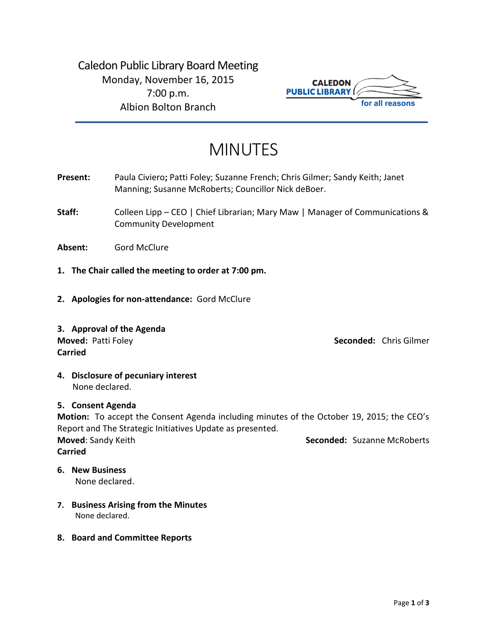Caledon Public Library Board Meeting Monday, November 16, 2015 7:00 p.m. Albion Bolton Branch



# MINUTES

- **Present:** Paula Civiero**;** Patti Foley; Suzanne French; Chris Gilmer; Sandy Keith; Janet Manning; Susanne McRoberts; Councillor Nick deBoer.
- **Staff:** Colleen Lipp CEO | Chief Librarian; Mary Maw | Manager of Communications & Community Development

**Absent:** Gord McClure

- **1. The Chair called the meeting to order at 7:00 pm.**
- **2. Apologies for non-attendance:** Gord McClure
- **3. Approval of the Agenda Moved: Patti Foley and Seconded: Chris Gilmer Construction of the Seconded: Chris Gilmer Construction of the Seconded: Chris Gilmer Construction of the Seconded: Chris Gilmer Construction of the Seconded: Chris Gilmer Con Carried**

**4. Disclosure of pecuniary interest** None declared.

# **5. Consent Agenda**

**Motion:** To accept the Consent Agenda including minutes of the October 19, 2015; the CEO's Report and The Strategic Initiatives Update as presented. **Moved:** Sandy Keith **Seconded: Suzanne McRoberts Seconded: Suzanne McRoberts Carried**

# **6. New Business**

None declared.

- **7. Business Arising from the Minutes** None declared.
- **8. Board and Committee Reports**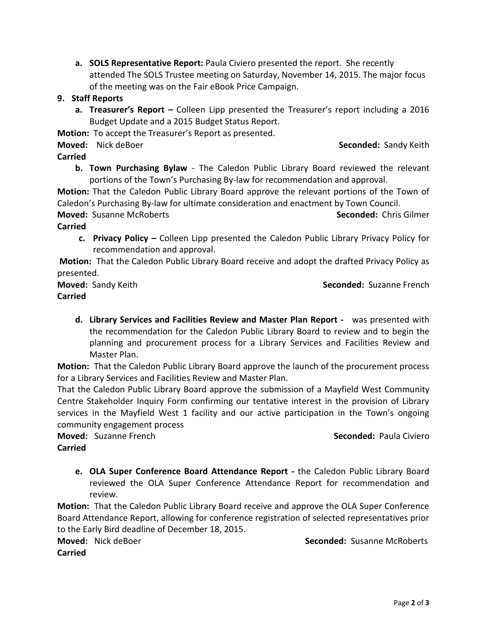**a. SOLS Representative Report:** Paula Civiero presented the report. She recently attended The SOLS Trustee meeting on Saturday, November 14, 2015. The major focus of the meeting was on the Fair eBook Price Campaign.

# **9. Staff Reports**

**a. Treasurer's Report –** Colleen Lipp presented the Treasurer's report including a 2016 Budget Update and a 2015 Budget Status Report.

**Motion:** To accept the Treasurer's Report as presented.

**Moved:** Nick deBoer **Seconded: Sandy Keith** Seconded: Sandy Keith

# **Carried**

**b. Town Purchasing Bylaw** - The Caledon Public Library Board reviewed the relevant portions of the Town's Purchasing By-law for recommendation and approval.

**Motion:** That the Caledon Public Library Board approve the relevant portions of the Town of Caledon's Purchasing By-law for ultimate consideration and enactment by Town Council.

**Moved:** Susanne McRoberts **Seconded:** Chris Gilmer

# **Carried**

**c. Privacy Policy –** Colleen Lipp presented the Caledon Public Library Privacy Policy for recommendation and approval.

**Motion:** That the Caledon Public Library Board receive and adopt the drafted Privacy Policy as presented.

**Moved:** Sandy Keith **Seconded:** Suzanne French

# **Carried**

**d. Library Services and Facilities Review and Master Plan Report -** was presented with the recommendation for the Caledon Public Library Board to review and to begin the planning and procurement process for a Library Services and Facilities Review and Master Plan.

**Motion:** That the Caledon Public Library Board approve the launch of the procurement process for a Library Services and Facilities Review and Master Plan.

That the Caledon Public Library Board approve the submission of a Mayfield West Community Centre Stakeholder Inquiry Form confirming our tentative interest in the provision of Library services in the Mayfield West 1 facility and our active participation in the Town's ongoing community engagement process

**Moved:** Suzanne French **Seconded:** Paula Civiero

# **Carried**

**e. OLA Super Conference Board Attendance Report -** the Caledon Public Library Board reviewed the OLA Super Conference Attendance Report for recommendation and review.

**Motion:** That the Caledon Public Library Board receive and approve the OLA Super Conference Board Attendance Report, allowing for conference registration of selected representatives prior to the Early Bird deadline of December 18, 2015.

**Moved:** Nick deBoer **Seconded:** Susanne McRoberts

**Carried**